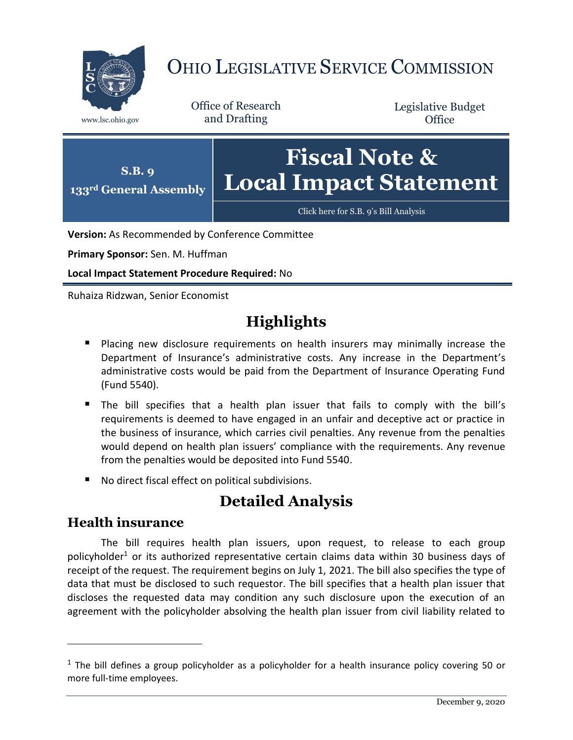

# OHIO LEGISLATIVE SERVICE COMMISSION

Office of Research www.lsc.ohio.gov and Drafting

Legislative Budget **Office** 



**Version:** As Recommended by Conference Committee

**Primary Sponsor:** Sen. M. Huffman

**Local Impact Statement Procedure Required:** No

Ruhaiza Ridzwan, Senior Economist

## **Highlights**

- **Placing new disclosure requirements on health insurers may minimally increase the** Department of Insurance's administrative costs. Any increase in the Department's administrative costs would be paid from the Department of Insurance Operating Fund (Fund 5540).
- The bill specifies that a health plan issuer that fails to comply with the bill's requirements is deemed to have engaged in an unfair and deceptive act or practice in the business of insurance, which carries civil penalties. Any revenue from the penalties would depend on health plan issuers' compliance with the requirements. Any revenue from the penalties would be deposited into Fund 5540.
- No direct fiscal effect on political subdivisions.

### **Detailed Analysis**

#### **Health insurance**

 $\overline{a}$ 

The bill requires health plan issuers, upon request, to release to each group policyholder<sup>1</sup> or its authorized representative certain claims data within 30 business days of receipt of the request. The requirement begins on July 1, 2021. The bill also specifies the type of data that must be disclosed to such requestor. The bill specifies that a health plan issuer that discloses the requested data may condition any such disclosure upon the execution of an agreement with the policyholder absolving the health plan issuer from civil liability related to

 $1$  The bill defines a group policyholder as a policyholder for a health insurance policy covering 50 or more full-time employees.